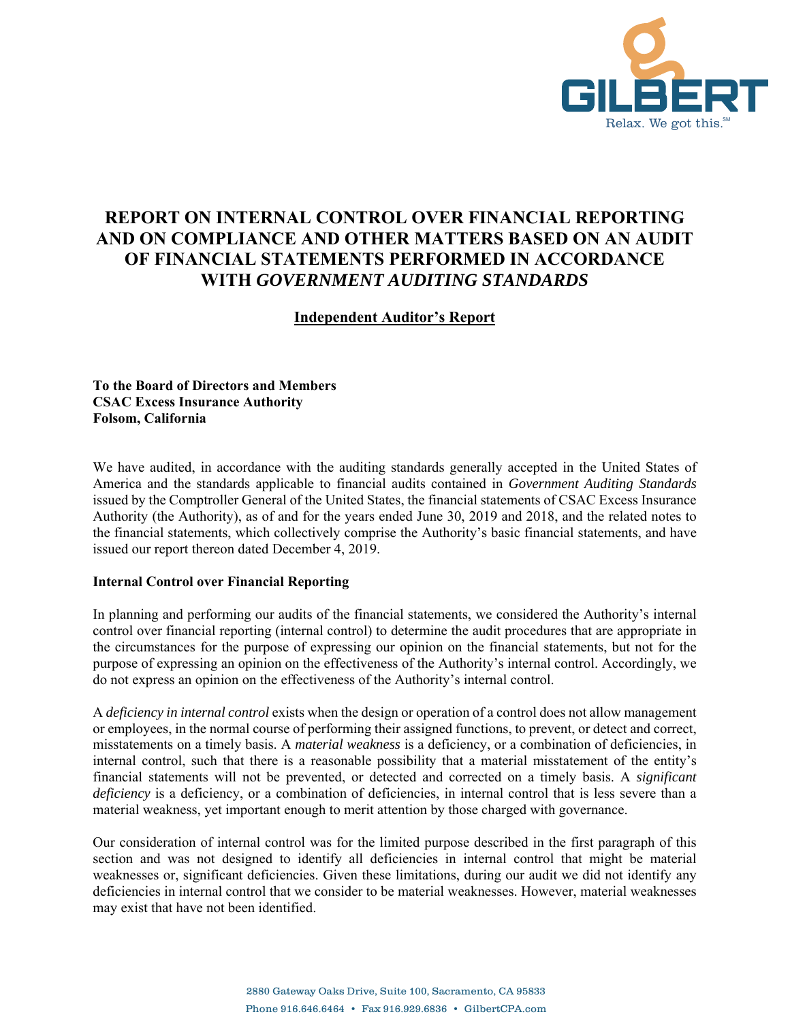

# **REPORT ON INTERNAL CONTROL OVER FINANCIAL REPORTING AND ON COMPLIANCE AND OTHER MATTERS BASED ON AN AUDIT OF FINANCIAL STATEMENTS PERFORMED IN ACCORDANCE WITH** *GOVERNMENT AUDITING STANDARDS*

# **Independent Auditor's Report**

**To the Board of Directors and Members CSAC Excess Insurance Authority Folsom, California** 

We have audited, in accordance with the auditing standards generally accepted in the United States of America and the standards applicable to financial audits contained in *Government Auditing Standards* issued by the Comptroller General of the United States, the financial statements of CSAC Excess Insurance Authority (the Authority), as of and for the years ended June 30, 2019 and 2018, and the related notes to the financial statements, which collectively comprise the Authority's basic financial statements, and have issued our report thereon dated December 4, 2019.

## **Internal Control over Financial Reporting**

In planning and performing our audits of the financial statements, we considered the Authority's internal control over financial reporting (internal control) to determine the audit procedures that are appropriate in the circumstances for the purpose of expressing our opinion on the financial statements, but not for the purpose of expressing an opinion on the effectiveness of the Authority's internal control. Accordingly, we do not express an opinion on the effectiveness of the Authority's internal control.

A *deficiency in internal control* exists when the design or operation of a control does not allow management or employees, in the normal course of performing their assigned functions, to prevent, or detect and correct, misstatements on a timely basis. A *material weakness* is a deficiency, or a combination of deficiencies, in internal control, such that there is a reasonable possibility that a material misstatement of the entity's financial statements will not be prevented, or detected and corrected on a timely basis. A *significant deficiency* is a deficiency, or a combination of deficiencies, in internal control that is less severe than a material weakness, yet important enough to merit attention by those charged with governance.

Our consideration of internal control was for the limited purpose described in the first paragraph of this section and was not designed to identify all deficiencies in internal control that might be material weaknesses or, significant deficiencies. Given these limitations, during our audit we did not identify any deficiencies in internal control that we consider to be material weaknesses. However, material weaknesses may exist that have not been identified.